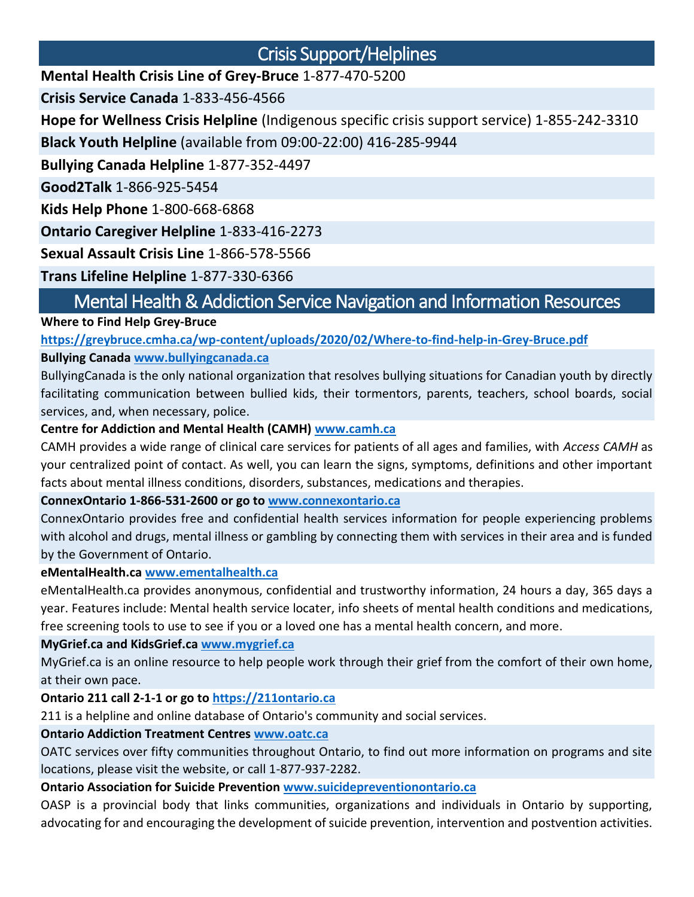## Crisis Support/Helplines

**Mental Health Crisis Line of Grey-Bruce** 1-877-470-5200

**Crisis Service Canada** 1-833-456-4566

**Hope for Wellness Crisis Helpline** (Indigenous specific crisis support service) 1-855-242-3310

**Black Youth Helpline** (available from 09:00-22:00) 416-285-9944

**Bullying Canada Helpline** 1-877-352-4497

**Good2Talk** 1-866-925-5454

**Kids Help Phone** 1-800-668-6868

**Ontario Caregiver Helpline** 1-833-416-2273

**Sexual Assault Crisis Line** 1-866-578-5566

**Trans Lifeline Helpline** 1-877-330-6366

## Mental Health & Addiction Service Navigation and Information Resources

**Where to Find Help Grey-Bruce**

**<https://greybruce.cmha.ca/wp-content/uploads/2020/02/Where-to-find-help-in-Grey-Bruce.pdf>**

### **Bullying Canada [www.bullyingcanada.ca](http://www.bullyingcanada.ca/)**

BullyingCanada is the only national organization that resolves bullying situations for Canadian youth by directly facilitating communication between bullied kids, their tormentors, parents, teachers, school boards, social services, and, when necessary, police.

### **Centre for Addiction and Mental Health (CAMH) [www.camh.ca](http://www.camh.ca/)**

CAMH provides a wide range of clinical care services for patients of all ages and families, with *Access CAMH* as your centralized point of contact. As well, you can learn the signs, symptoms, definitions and other important facts about mental illness conditions, disorders, substances, medications and therapies.

### **ConnexOntario 1-866-531-2600 or go to [www.connexontario.ca](http://www.connexontario.ca/)**

ConnexOntario provides free and confidential health services information for people experiencing problems with alcohol and drugs, mental illness or gambling by connecting them with services in their area and is funded by the Government of Ontario.

### **eMentalHealth.ca [www.ementalhealth.ca](http://www.ementalhealth.ca/)**

eMentalHealth.ca provides anonymous, confidential and trustworthy information, 24 hours a day, 365 days a year. Features include: Mental health service locater, info sheets of mental health conditions and medications, free screening tools to use to see if you or a loved one has a mental health concern, and more.

## **MyGrief.ca and KidsGrief.ca [www.mygrief.ca](http://www.mygrief.ca/)**

MyGrief.ca is an online resource to help people work through their grief from the comfort of their own home, at their own pace.

**Ontario 211 call 2-1-1 or go to [https://211ontario.ca](https://211ontario.ca/)** 

211 is a helpline and online database of Ontario's community and social services.

## **Ontario Addiction Treatment Centres [www.oatc.ca](http://www.oatc.ca/)**

OATC services over fifty communities throughout Ontario, to find out more information on programs and site locations, please visit the website, or call 1-877-937-2282.

## **Ontario Association for Suicide Prevention [www.suicidepreventionontario.ca](http://www.suicidepreventionontario.ca/)**

OASP is a provincial body that links communities, organizations and individuals in Ontario by supporting, advocating for and encouraging the development of suicide prevention, intervention and postvention activities.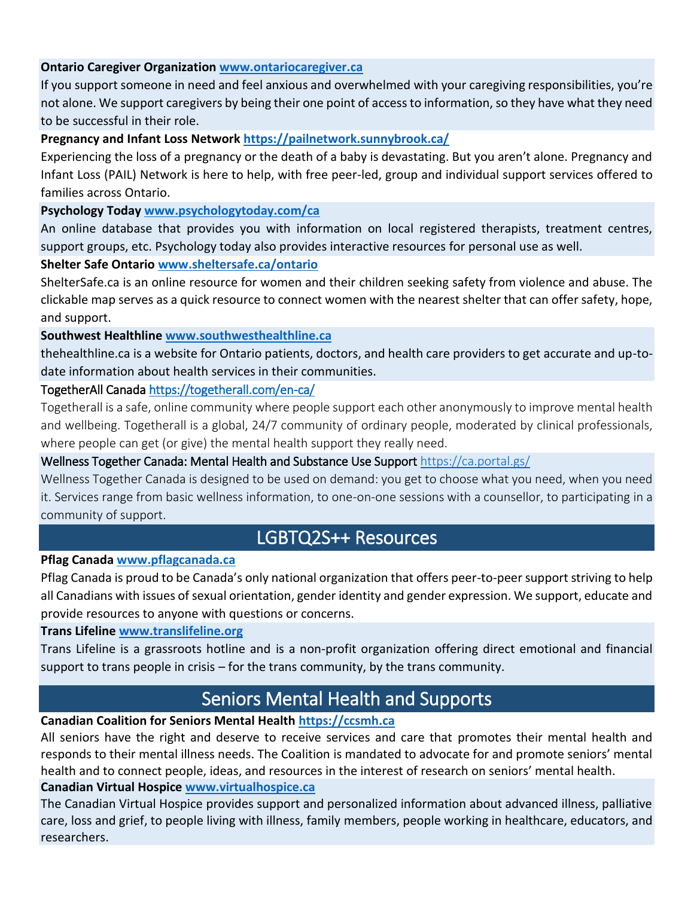#### **Ontario Caregiver Organization [www.ontariocaregiver.ca](http://www.ontariocaregiver.ca/)**

If you support someone in need and feel anxious and overwhelmed with your caregiving responsibilities, you're not alone. We support caregivers by being their one point of access to information, so they have what they need to be successful in their role.

#### **Pregnancy and Infant Loss Network<https://pailnetwork.sunnybrook.ca/>**

Experiencing the loss of a pregnancy or the death of a baby is devastating. But you aren't alone. Pregnancy and Infant Loss (PAIL) Network is here to help, with free peer-led, group and individual support services offered to families across Ontario.

#### **Psychology Today [www.psychologytoday.com/ca](http://www.psychologytoday.com/ca)**

An online database that provides you with information on local registered therapists, treatment centres, support groups, etc. Psychology today also provides interactive resources for personal use as well.

#### **Shelter Safe Ontario [www.sheltersafe.ca/ontario](http://www.sheltersafe.ca/ontario)**

ShelterSafe.ca is an online resource for women and their children seeking safety from violence and abuse. The clickable map serves as a quick resource to connect women with the nearest shelter that can offer safety, hope, and support.

#### **Southwest Healthline [www.southwesthealthline.ca](http://www.southwesthealthline.ca/)**

thehealthline.ca is a website for Ontario patients, doctors, and health care providers to get accurate and up-todate information about health services in their communities.

#### TogetherAll Canada<https://togetherall.com/en-ca/>

Togetherall is a safe, online community where people support each other anonymously to improve mental health and wellbeing. Togetherall is a global, 24/7 community of ordinary people, moderated by clinical professionals, where people can get (or give) the mental health support they really need.

#### Wellness Together Canada: Mental Health and Substance Use Support<https://ca.portal.gs/>

Wellness Together Canada is designed to be used on demand: you get to choose what you need, when you need it. Services range from basic wellness information, to one-on-one sessions with a counsellor, to participating in a community of support.

## LGBTQ2S++ Resources

#### **Pflag Canada [www.pflagcanada.ca](http://www.pflagcanada.ca/)**

Pflag Canada is proud to be Canada's only national organization that offers peer-to-peer support striving to help all Canadians with issues of sexual orientation, gender identity and gender expression. We support, educate and provide resources to anyone with questions or concerns.

#### **Trans Lifeline [www.translifeline.org](http://www.translifeline.org/)**

Trans Lifeline is a grassroots hotline and is a non-profit organization offering direct emotional and financial support to trans people in crisis – for the trans community, by the trans community.

## Seniors Mental Health and Supports

#### **Canadian Coalition for Seniors Mental Health [https://ccsmh.ca](https://ccsmh.ca/)**

All seniors have the right and deserve to receive services and care that promotes their mental health and responds to their mental illness needs. The Coalition is mandated to advocate for and promote seniors' mental health and to connect people, ideas, and resources in the interest of research on seniors' mental health.

#### **Canadian Virtual Hospice [www.virtualhospice.ca](http://www.virtualhospice.ca/)**

The Canadian Virtual Hospice provides support and personalized information about advanced illness, palliative care, loss and grief, to people living with illness, family members, people working in healthcare, educators, and researchers.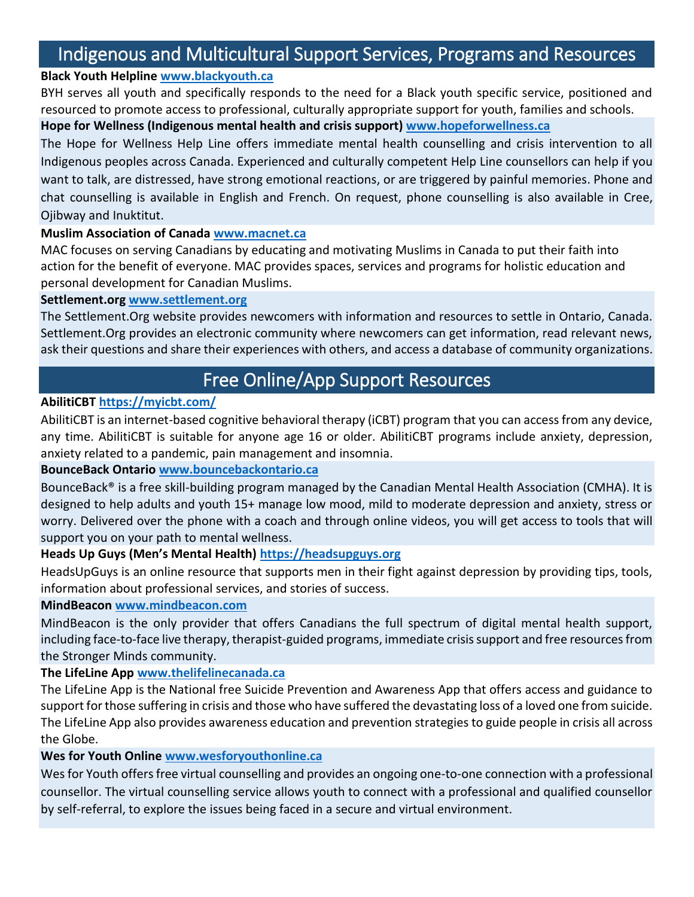## Indigenous and Multicultural Support Services, Programs and Resources

#### **Black Youth Helpline [www.blackyouth.ca](http://www.blackyouth.ca/)**

BYH serves all youth and specifically responds to the need for a Black youth specific service, positioned and resourced to promote access to professional, culturally appropriate support for youth, families and schools. **Hope for Wellness (Indigenous mental health and crisis support) [www.hopeforwellness.ca](http://www.hopeforwellness.ca/)**

The Hope for Wellness Help Line offers immediate mental health counselling and crisis intervention to all Indigenous peoples across Canada. Experienced and culturally competent Help Line counsellors can help if you want to talk, are distressed, have strong emotional reactions, or are triggered by painful memories. Phone and chat counselling is available in English and French. On request, phone counselling is also available in Cree, Ojibway and Inuktitut.

#### **Muslim Association of Canada [www.macnet.ca](http://www.macnet.ca/)**

MAC focuses on serving Canadians by educating and motivating Muslims in Canada to put their faith into action for the benefit of everyone. MAC provides spaces, services and programs for holistic education and personal development for Canadian Muslims.

#### **Settlement.org [www.settlement.org](http://www.settlement.org/)**

The Settlement.Org website provides newcomers with information and resources to settle in Ontario, Canada. Settlement.Org provides an electronic community where newcomers can get information, read relevant news, ask their questions and share their experiences with others, and access a database of community organizations.

## Free Online/App Support Resources

#### **AbilitiCBT<https://myicbt.com/>**

AbilitiCBT is an internet-based cognitive behavioral therapy (iCBT) program that you can access from any device, any time. AbilitiCBT is suitable for anyone age 16 or older. AbilitiCBT programs include anxiety, depression, anxiety related to a pandemic, pain management and insomnia.

#### **BounceBack Ontario [www.bouncebackontario.ca](http://www.bouncebackontario.ca/)**

BounceBack® is a free skill-building program managed by the Canadian Mental Health Association (CMHA). It is designed to help adults and youth 15+ manage low mood, mild to moderate depression and anxiety, stress or worry. Delivered over the phone with a coach and through online videos, you will get access to tools that will support you on your path to mental wellness.

#### **Heads Up Guys (Men's Mental Health) [https://headsupguys.org](https://headsupguys.org/)**

HeadsUpGuys is an online resource that supports men in their fight against depression by providing tips, tools, information about professional services, and stories of success.

#### **MindBeacon [www.mindbeacon.com](http://www.mindbeacon.com/)**

MindBeacon is the only provider that offers Canadians the full spectrum of digital mental health support, including face-to-face live therapy, therapist-guided programs, immediate crisis support and free resources from the Stronger Minds community.

#### **The LifeLine App [www.thelifelinecanada.ca](http://www.thelifelinecanada.ca/)**

The LifeLine App is the National free Suicide Prevention and Awareness App that offers access and guidance to support for those suffering in crisis and those who have suffered the devastating loss of a loved one from suicide. The LifeLine App also provides awareness education and prevention strategies to guide people in crisis all across the Globe.

#### **Wes for Youth Online [www.wesforyouthonline.ca](http://www.wesforyouthonline.ca/)**

Wes for Youth offers free virtual counselling and provides an ongoing one-to-one connection with a professional counsellor. The virtual counselling service allows youth to connect with a professional and qualified counsellor by self-referral, to explore the issues being faced in a secure and virtual environment.